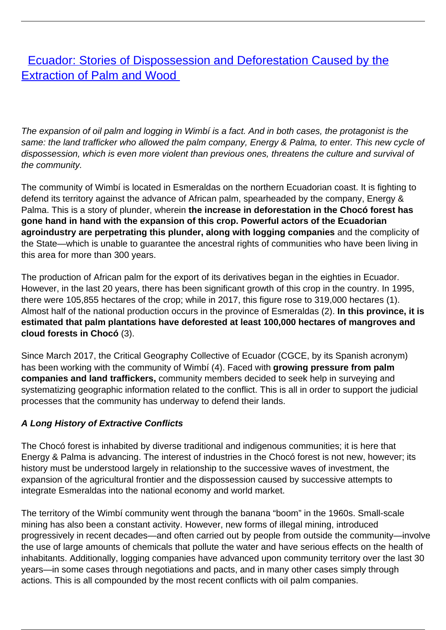**[Ecuador: Stories of Dispossession and Deforestation Caused by the](/bulletin-articles/ecuador-stories-of-dispossession-and-deforestation-caused-by-the-extraction-of-palm-and-wood)** [Extraction of Palm and Wood](/bulletin-articles/ecuador-stories-of-dispossession-and-deforestation-caused-by-the-extraction-of-palm-and-wood)

The expansion of oil palm and logging in Wimbí is a fact. And in both cases, the protagonist is the same: the land trafficker who allowed the palm company, Energy & Palma, to enter. This new cycle of dispossession, which is even more violent than previous ones, threatens the culture and survival of the community.

The community of Wimbí is located in Esmeraldas on the northern Ecuadorian coast. It is fighting to defend its territory against the advance of African palm, spearheaded by the company, Energy & Palma. This is a story of plunder, wherein **the increase in deforestation in the Chocó forest has gone hand in hand with the expansion of this crop. Powerful actors of the Ecuadorian agroindustry are perpetrating this plunder, along with logging companies** and the complicity of the State—which is unable to guarantee the ancestral rights of communities who have been living in this area for more than 300 years.

The production of African palm for the export of its derivatives began in the eighties in Ecuador. However, in the last 20 years, there has been significant growth of this crop in the country. In 1995, there were 105,855 hectares of the crop; while in 2017, this figure rose to 319,000 hectares (1). Almost half of the national production occurs in the province of Esmeraldas (2). **In this province, it is estimated that palm plantations have deforested at least 100,000 hectares of mangroves and cloud forests in Chocó** (3).

Since March 2017, the Critical Geography Collective of Ecuador (CGCE, by its Spanish acronym) has been working with the community of Wimbí (4). Faced with **growing pressure from palm companies and land traffickers,** community members decided to seek help in surveying and systematizing geographic information related to the conflict. This is all in order to support the judicial processes that the community has underway to defend their lands.

## **A Long History of Extractive Conflicts**

The Chocó forest is inhabited by diverse traditional and indigenous communities; it is here that Energy & Palma is advancing. The interest of industries in the Chocó forest is not new, however; its history must be understood largely in relationship to the successive waves of investment, the expansion of the agricultural frontier and the dispossession caused by successive attempts to integrate Esmeraldas into the national economy and world market.

The territory of the Wimbí community went through the banana "boom" in the 1960s. Small-scale mining has also been a constant activity. However, new forms of illegal mining, introduced progressively in recent decades—and often carried out by people from outside the community—involve the use of large amounts of chemicals that pollute the water and have serious effects on the health of inhabitants. Additionally, logging companies have advanced upon community territory over the last 30 years—in some cases through negotiations and pacts, and in many other cases simply through actions. This is all compounded by the most recent conflicts with oil palm companies.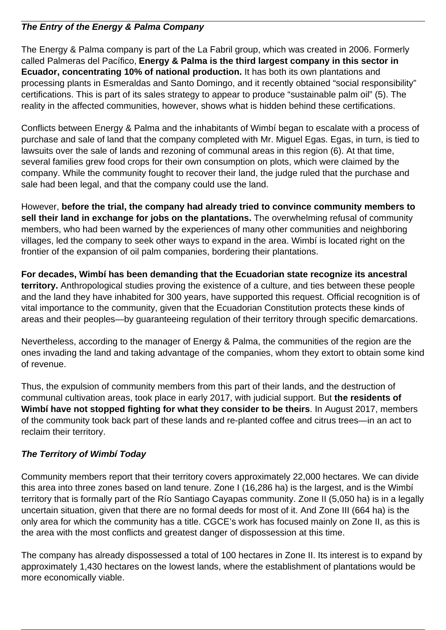## **The Entry of the Energy & Palma Company**

The Energy & Palma company is part of the La Fabril group, which was created in 2006. Formerly called Palmeras del Pacífico, **Energy & Palma is the third largest company in this sector in Ecuador, concentrating 10% of national production.** It has both its own plantations and processing plants in Esmeraldas and Santo Domingo, and it recently obtained "social responsibility" certifications. This is part of its sales strategy to appear to produce "sustainable palm oil" (5). The reality in the affected communities, however, shows what is hidden behind these certifications.

Conflicts between Energy & Palma and the inhabitants of Wimbí began to escalate with a process of purchase and sale of land that the company completed with Mr. Miguel Egas. Egas, in turn, is tied to lawsuits over the sale of lands and rezoning of communal areas in this region (6). At that time, several families grew food crops for their own consumption on plots, which were claimed by the company. While the community fought to recover their land, the judge ruled that the purchase and sale had been legal, and that the company could use the land.

However, **before the trial, the company had already tried to convince community members to sell their land in exchange for jobs on the plantations.** The overwhelming refusal of community members, who had been warned by the experiences of many other communities and neighboring villages, led the company to seek other ways to expand in the area. Wimbí is located right on the frontier of the expansion of oil palm companies, bordering their plantations.

**For decades, Wimbí has been demanding that the Ecuadorian state recognize its ancestral territory.** Anthropological studies proving the existence of a culture, and ties between these people and the land they have inhabited for 300 years, have supported this request. Official recognition is of vital importance to the community, given that the Ecuadorian Constitution protects these kinds of areas and their peoples—by guaranteeing regulation of their territory through specific demarcations.

Nevertheless, according to the manager of Energy & Palma, the communities of the region are the ones invading the land and taking advantage of the companies, whom they extort to obtain some kind of revenue.

Thus, the expulsion of community members from this part of their lands, and the destruction of communal cultivation areas, took place in early 2017, with judicial support. But **the residents of Wimbí have not stopped fighting for what they consider to be theirs**. In August 2017, members of the community took back part of these lands and re-planted coffee and citrus trees—in an act to reclaim their territory.

## **The Territory of Wimbí Today**

Community members report that their territory covers approximately 22,000 hectares. We can divide this area into three zones based on land tenure. Zone I (16,286 ha) is the largest, and is the Wimbí territory that is formally part of the Río Santiago Cayapas community. Zone II (5,050 ha) is in a legally uncertain situation, given that there are no formal deeds for most of it. And Zone III (664 ha) is the only area for which the community has a title. CGCE's work has focused mainly on Zone II, as this is the area with the most conflicts and greatest danger of dispossession at this time.

The company has already dispossessed a total of 100 hectares in Zone II. Its interest is to expand by approximately 1,430 hectares on the lowest lands, where the establishment of plantations would be more economically viable.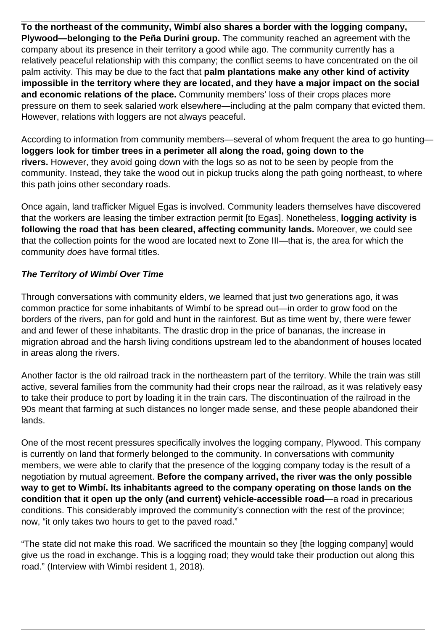**To the northeast of the community, Wimbí also shares a border with the logging company, Plywood—belonging to the Peña Durini group.** The community reached an agreement with the company about its presence in their territory a good while ago. The community currently has a relatively peaceful relationship with this company; the conflict seems to have concentrated on the oil palm activity. This may be due to the fact that **palm plantations make any other kind of activity impossible in the territory where they are located, and they have a major impact on the social and economic relations of the place.** Community members' loss of their crops places more pressure on them to seek salaried work elsewhere—including at the palm company that evicted them. However, relations with loggers are not always peaceful.

According to information from community members—several of whom frequent the area to go hunting **loggers look for timber trees in a perimeter all along the road, going down to the rivers.** However, they avoid going down with the logs so as not to be seen by people from the community. Instead, they take the wood out in pickup trucks along the path going northeast, to where this path joins other secondary roads.

Once again, land trafficker Miguel Egas is involved. Community leaders themselves have discovered that the workers are leasing the timber extraction permit [to Egas]. Nonetheless, **logging activity is following the road that has been cleared, affecting community lands.** Moreover, we could see that the collection points for the wood are located next to Zone III—that is, the area for which the community does have formal titles.

## **The Territory of Wimbí Over Time**

Through conversations with community elders, we learned that just two generations ago, it was common practice for some inhabitants of Wimbí to be spread out—in order to grow food on the borders of the rivers, pan for gold and hunt in the rainforest. But as time went by, there were fewer and and fewer of these inhabitants. The drastic drop in the price of bananas, the increase in migration abroad and the harsh living conditions upstream led to the abandonment of houses located in areas along the rivers.

Another factor is the old railroad track in the northeastern part of the territory. While the train was still active, several families from the community had their crops near the railroad, as it was relatively easy to take their produce to port by loading it in the train cars. The discontinuation of the railroad in the 90s meant that farming at such distances no longer made sense, and these people abandoned their lands.

One of the most recent pressures specifically involves the logging company, Plywood. This company is currently on land that formerly belonged to the community. In conversations with community members, we were able to clarify that the presence of the logging company today is the result of a negotiation by mutual agreement. **Before the company arrived, the river was the only possible way to get to Wimbí. Its inhabitants agreed to the company operating on those lands on the condition that it open up the only (and current) vehicle-accessible road**—a road in precarious conditions. This considerably improved the community's connection with the rest of the province; now, "it only takes two hours to get to the paved road."

"The state did not make this road. We sacrificed the mountain so they [the logging company] would give us the road in exchange. This is a logging road; they would take their production out along this road." (Interview with Wimbí resident 1, 2018).